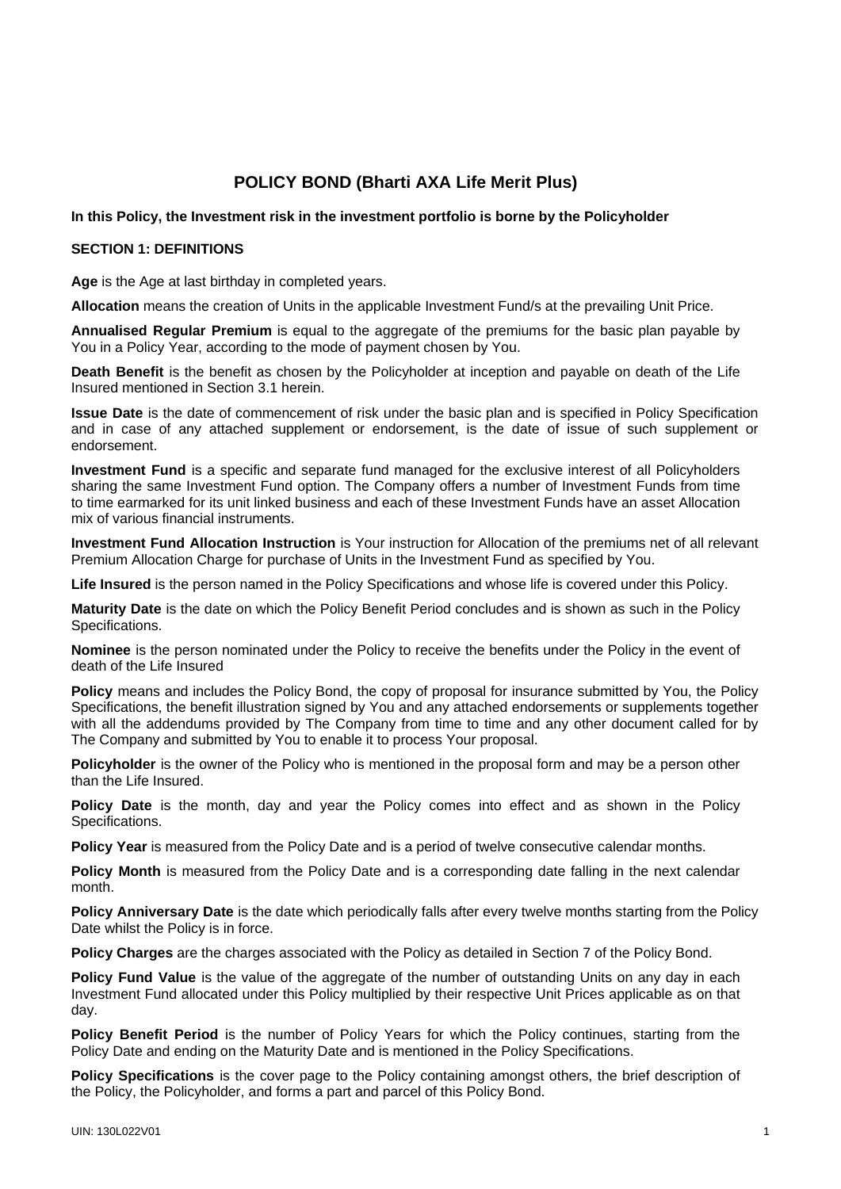# **POLICY BOND (Bharti AXA Life Merit Plus)**

## **In this Policy, the Investment risk in the investment portfolio is borne by the Policyholder**

#### **SECTION 1: DEFINITIONS**

**Age** is the Age at last birthday in completed years.

**Allocation** means the creation of Units in the applicable Investment Fund/s at the prevailing Unit Price.

**Annualised Regular Premium** is equal to the aggregate of the premiums for the basic plan payable by You in a Policy Year, according to the mode of payment chosen by You.

**Death Benefit** is the benefit as chosen by the Policyholder at inception and payable on death of the Life Insured mentioned in Section 3.1 herein.

**Issue Date** is the date of commencement of risk under the basic plan and is specified in Policy Specification and in case of any attached supplement or endorsement, is the date of issue of such supplement or endorsement.

**Investment Fund** is a specific and separate fund managed for the exclusive interest of all Policyholders sharing the same Investment Fund option. The Company offers a number of Investment Funds from time to time earmarked for its unit linked business and each of these Investment Funds have an asset Allocation mix of various financial instruments.

**Investment Fund Allocation Instruction** is Your instruction for Allocation of the premiums net of all relevant Premium Allocation Charge for purchase of Units in the Investment Fund as specified by You.

**Life Insured** is the person named in the Policy Specifications and whose life is covered under this Policy.

**Maturity Date** is the date on which the Policy Benefit Period concludes and is shown as such in the Policy Specifications.

**Nominee** is the person nominated under the Policy to receive the benefits under the Policy in the event of death of the Life Insured

**Policy** means and includes the Policy Bond, the copy of proposal for insurance submitted by You, the Policy Specifications, the benefit illustration signed by You and any attached endorsements or supplements together with all the addendums provided by The Company from time to time and any other document called for by The Company and submitted by You to enable it to process Your proposal.

**Policyholder** is the owner of the Policy who is mentioned in the proposal form and may be a person other than the Life Insured.

**Policy Date** is the month, day and year the Policy comes into effect and as shown in the Policy Specifications.

**Policy Year** is measured from the Policy Date and is a period of twelve consecutive calendar months.

**Policy Month** is measured from the Policy Date and is a corresponding date falling in the next calendar month.

**Policy Anniversary Date** is the date which periodically falls after every twelve months starting from the Policy Date whilst the Policy is in force.

**Policy Charges** are the charges associated with the Policy as detailed in Section 7 of the Policy Bond.

Policy Fund Value is the value of the aggregate of the number of outstanding Units on any day in each Investment Fund allocated under this Policy multiplied by their respective Unit Prices applicable as on that day.

**Policy Benefit Period** is the number of Policy Years for which the Policy continues, starting from the Policy Date and ending on the Maturity Date and is mentioned in the Policy Specifications.

**Policy Specifications** is the cover page to the Policy containing amongst others, the brief description of the Policy, the Policyholder, and forms a part and parcel of this Policy Bond.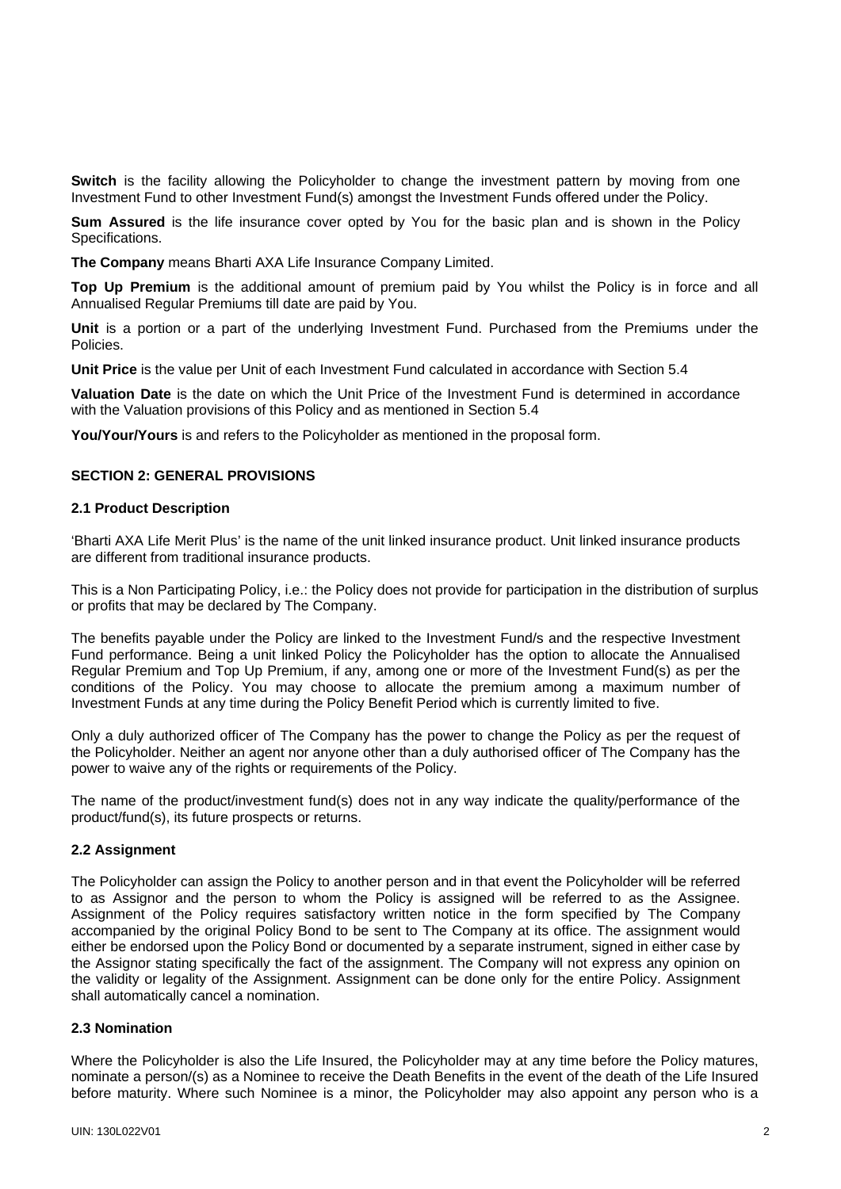**Switch** is the facility allowing the Policyholder to change the investment pattern by moving from one Investment Fund to other Investment Fund(s) amongst the Investment Funds offered under the Policy.

**Sum Assured** is the life insurance cover opted by You for the basic plan and is shown in the Policy Specifications.

**The Company** means Bharti AXA Life Insurance Company Limited.

**Top Up Premium** is the additional amount of premium paid by You whilst the Policy is in force and all Annualised Regular Premiums till date are paid by You.

**Unit** is a portion or a part of the underlying Investment Fund. Purchased from the Premiums under the Policies.

**Unit Price** is the value per Unit of each Investment Fund calculated in accordance with Section 5.4

**Valuation Date** is the date on which the Unit Price of the Investment Fund is determined in accordance with the Valuation provisions of this Policy and as mentioned in Section 5.4

**You/Your/Yours** is and refers to the Policyholder as mentioned in the proposal form.

#### **SECTION 2: GENERAL PROVISIONS**

#### **2.1 Product Description**

'Bharti AXA Life Merit Plus' is the name of the unit linked insurance product. Unit linked insurance products are different from traditional insurance products.

This is a Non Participating Policy, i.e.: the Policy does not provide for participation in the distribution of surplus or profits that may be declared by The Company.

The benefits payable under the Policy are linked to the Investment Fund/s and the respective Investment Fund performance. Being a unit linked Policy the Policyholder has the option to allocate the Annualised Regular Premium and Top Up Premium, if any, among one or more of the Investment Fund(s) as per the conditions of the Policy. You may choose to allocate the premium among a maximum number of Investment Funds at any time during the Policy Benefit Period which is currently limited to five.

Only a duly authorized officer of The Company has the power to change the Policy as per the request of the Policyholder. Neither an agent nor anyone other than a duly authorised officer of The Company has the power to waive any of the rights or requirements of the Policy.

The name of the product/investment fund(s) does not in any way indicate the quality/performance of the product/fund(s), its future prospects or returns.

#### **2.2 Assignment**

The Policyholder can assign the Policy to another person and in that event the Policyholder will be referred to as Assignor and the person to whom the Policy is assigned will be referred to as the Assignee. Assignment of the Policy requires satisfactory written notice in the form specified by The Company accompanied by the original Policy Bond to be sent to The Company at its office. The assignment would either be endorsed upon the Policy Bond or documented by a separate instrument, signed in either case by the Assignor stating specifically the fact of the assignment. The Company will not express any opinion on the validity or legality of the Assignment. Assignment can be done only for the entire Policy. Assignment shall automatically cancel a nomination.

## **2.3 Nomination**

Where the Policyholder is also the Life Insured, the Policyholder may at any time before the Policy matures, nominate a person/(s) as a Nominee to receive the Death Benefits in the event of the death of the Life Insured before maturity. Where such Nominee is a minor, the Policyholder may also appoint any person who is a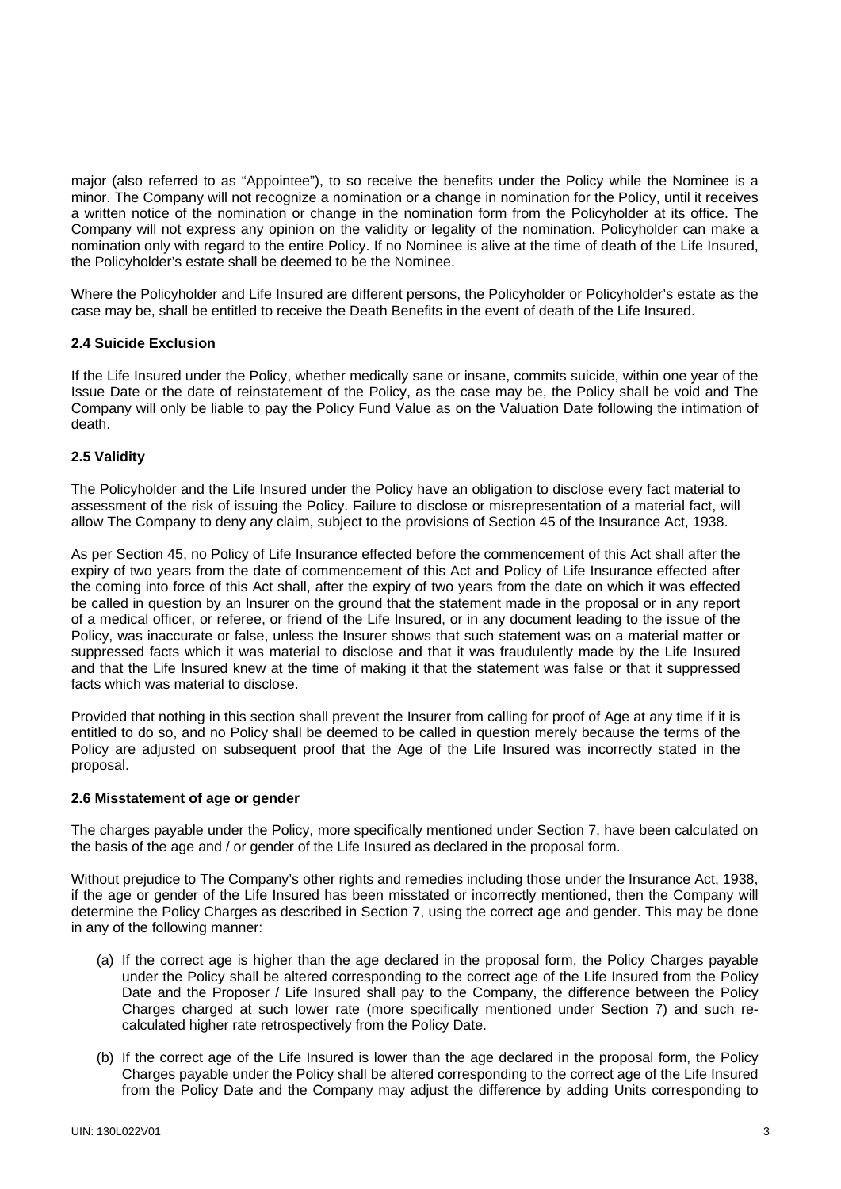major (also referred to as "Appointee"), to so receive the benefits under the Policy while the Nominee is a minor. The Company will not recognize a nomination or a change in nomination for the Policy, until it receives a written notice of the nomination or change in the nomination form from the Policyholder at its office. The Company will not express any opinion on the validity or legality of the nomination. Policyholder can make a nomination only with regard to the entire Policy. If no Nominee is alive at the time of death of the Life Insured, the Policyholder's estate shall be deemed to be the Nominee.

Where the Policyholder and Life Insured are different persons, the Policyholder or Policyholder's estate as the case may be, shall be entitled to receive the Death Benefits in the event of death of the Life Insured.

## **2.4 Suicide Exclusion**

If the Life Insured under the Policy, whether medically sane or insane, commits suicide, within one year of the Issue Date or the date of reinstatement of the Policy, as the case may be, the Policy shall be void and The Company will only be liable to pay the Policy Fund Value as on the Valuation Date following the intimation of death.

## **2.5 Validity**

The Policyholder and the Life Insured under the Policy have an obligation to disclose every fact material to assessment of the risk of issuing the Policy. Failure to disclose or misrepresentation of a material fact, will allow The Company to deny any claim, subject to the provisions of Section 45 of the Insurance Act, 1938.

As per Section 45, no Policy of Life Insurance effected before the commencement of this Act shall after the expiry of two years from the date of commencement of this Act and Policy of Life Insurance effected after the coming into force of this Act shall, after the expiry of two years from the date on which it was effected be called in question by an Insurer on the ground that the statement made in the proposal or in any report of a medical officer, or referee, or friend of the Life Insured, or in any document leading to the issue of the Policy, was inaccurate or false, unless the Insurer shows that such statement was on a material matter or suppressed facts which it was material to disclose and that it was fraudulently made by the Life Insured and that the Life Insured knew at the time of making it that the statement was false or that it suppressed facts which was material to disclose.

Provided that nothing in this section shall prevent the Insurer from calling for proof of Age at any time if it is entitled to do so, and no Policy shall be deemed to be called in question merely because the terms of the Policy are adjusted on subsequent proof that the Age of the Life Insured was incorrectly stated in the proposal.

#### **2.6 Misstatement of age or gender**

The charges payable under the Policy, more specifically mentioned under Section 7, have been calculated on the basis of the age and / or gender of the Life Insured as declared in the proposal form.

Without prejudice to The Company's other rights and remedies including those under the Insurance Act, 1938, if the age or gender of the Life Insured has been misstated or incorrectly mentioned, then the Company will determine the Policy Charges as described in Section 7, using the correct age and gender. This may be done in any of the following manner:

- (a) If the correct age is higher than the age declared in the proposal form, the Policy Charges payable under the Policy shall be altered corresponding to the correct age of the Life Insured from the Policy Date and the Proposer / Life Insured shall pay to the Company, the difference between the Policy Charges charged at such lower rate (more specifically mentioned under Section 7) and such recalculated higher rate retrospectively from the Policy Date.
- (b) If the correct age of the Life Insured is lower than the age declared in the proposal form, the Policy Charges payable under the Policy shall be altered corresponding to the correct age of the Life Insured from the Policy Date and the Company may adjust the difference by adding Units corresponding to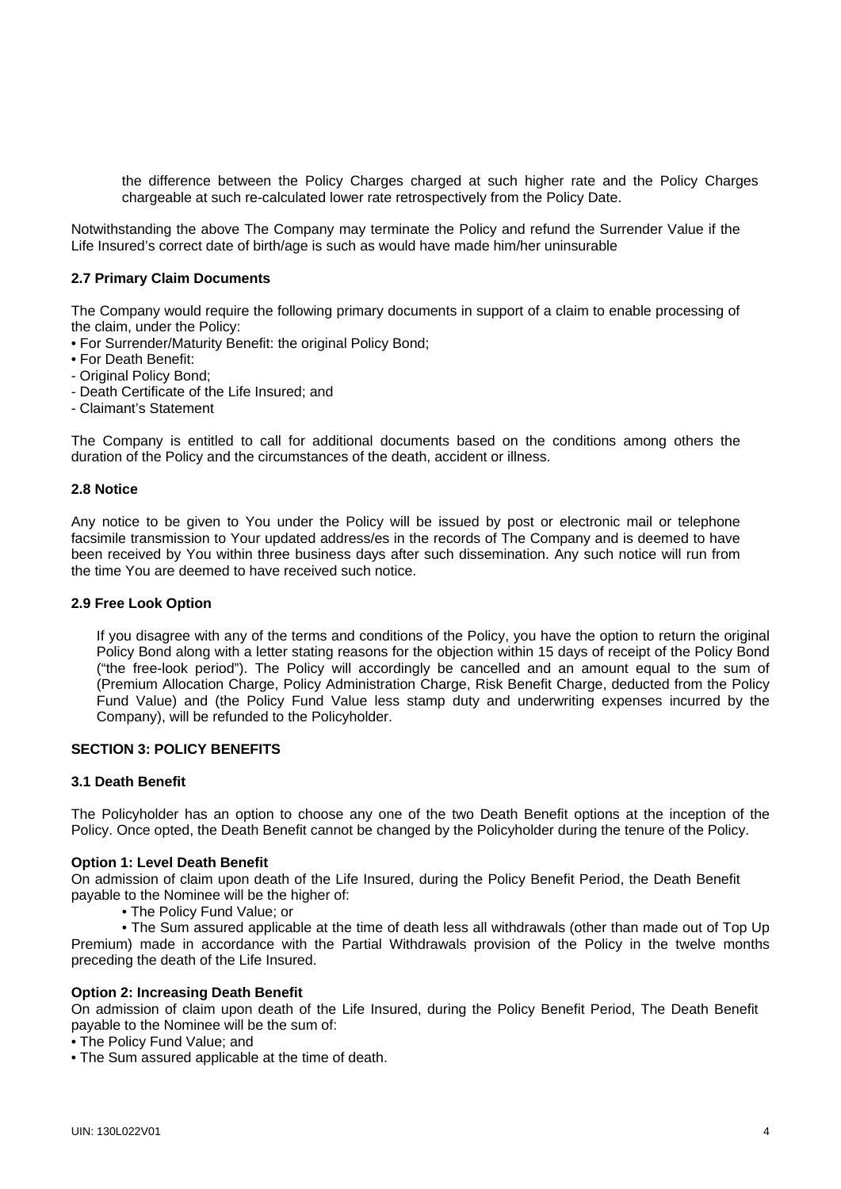the difference between the Policy Charges charged at such higher rate and the Policy Charges chargeable at such re-calculated lower rate retrospectively from the Policy Date.

Notwithstanding the above The Company may terminate the Policy and refund the Surrender Value if the Life Insured's correct date of birth/age is such as would have made him/her uninsurable

## **2.7 Primary Claim Documents**

The Company would require the following primary documents in support of a claim to enable processing of the claim, under the Policy:

- For Surrender/Maturity Benefit: the original Policy Bond;
- For Death Benefit:
- Original Policy Bond;
- Death Certificate of the Life Insured; and
- Claimant's Statement

The Company is entitled to call for additional documents based on the conditions among others the duration of the Policy and the circumstances of the death, accident or illness.

#### **2.8 Notice**

Any notice to be given to You under the Policy will be issued by post or electronic mail or telephone facsimile transmission to Your updated address/es in the records of The Company and is deemed to have been received by You within three business days after such dissemination. Any such notice will run from the time You are deemed to have received such notice.

#### **2.9 Free Look Option**

If you disagree with any of the terms and conditions of the Policy, you have the option to return the original Policy Bond along with a letter stating reasons for the objection within 15 days of receipt of the Policy Bond ("the free-look period"). The Policy will accordingly be cancelled and an amount equal to the sum of (Premium Allocation Charge, Policy Administration Charge, Risk Benefit Charge, deducted from the Policy Fund Value) and (the Policy Fund Value less stamp duty and underwriting expenses incurred by the Company), will be refunded to the Policyholder.

## **SECTION 3: POLICY BENEFITS**

#### **3.1 Death Benefit**

The Policyholder has an option to choose any one of the two Death Benefit options at the inception of the Policy. Once opted, the Death Benefit cannot be changed by the Policyholder during the tenure of the Policy.

#### **Option 1: Level Death Benefit**

On admission of claim upon death of the Life Insured, during the Policy Benefit Period, the Death Benefit payable to the Nominee will be the higher of:

• The Policy Fund Value; or

 • The Sum assured applicable at the time of death less all withdrawals (other than made out of Top Up Premium) made in accordance with the Partial Withdrawals provision of the Policy in the twelve months preceding the death of the Life Insured.

#### **Option 2: Increasing Death Benefit**

On admission of claim upon death of the Life Insured, during the Policy Benefit Period, The Death Benefit payable to the Nominee will be the sum of:

• The Policy Fund Value; and

• The Sum assured applicable at the time of death.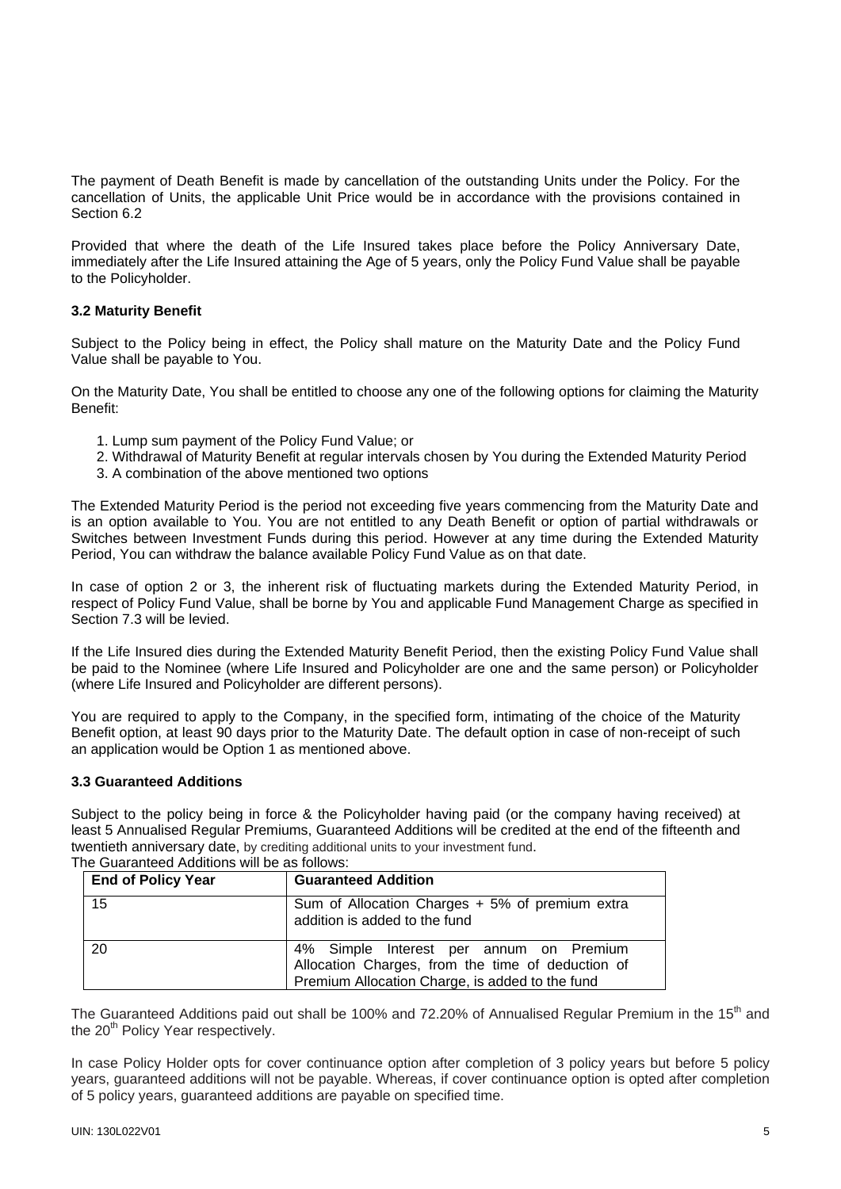The payment of Death Benefit is made by cancellation of the outstanding Units under the Policy. For the cancellation of Units, the applicable Unit Price would be in accordance with the provisions contained in Section 6.2

Provided that where the death of the Life Insured takes place before the Policy Anniversary Date, immediately after the Life Insured attaining the Age of 5 years, only the Policy Fund Value shall be payable to the Policyholder.

# **3.2 Maturity Benefit**

Subject to the Policy being in effect, the Policy shall mature on the Maturity Date and the Policy Fund Value shall be payable to You.

On the Maturity Date, You shall be entitled to choose any one of the following options for claiming the Maturity Benefit:

- 1. Lump sum payment of the Policy Fund Value; or
- 2. Withdrawal of Maturity Benefit at regular intervals chosen by You during the Extended Maturity Period
- 3. A combination of the above mentioned two options

The Extended Maturity Period is the period not exceeding five years commencing from the Maturity Date and is an option available to You. You are not entitled to any Death Benefit or option of partial withdrawals or Switches between Investment Funds during this period. However at any time during the Extended Maturity Period, You can withdraw the balance available Policy Fund Value as on that date.

In case of option 2 or 3, the inherent risk of fluctuating markets during the Extended Maturity Period, in respect of Policy Fund Value, shall be borne by You and applicable Fund Management Charge as specified in Section 7.3 will be levied.

If the Life Insured dies during the Extended Maturity Benefit Period, then the existing Policy Fund Value shall be paid to the Nominee (where Life Insured and Policyholder are one and the same person) or Policyholder (where Life Insured and Policyholder are different persons).

You are required to apply to the Company, in the specified form, intimating of the choice of the Maturity Benefit option, at least 90 days prior to the Maturity Date. The default option in case of non-receipt of such an application would be Option 1 as mentioned above.

#### **3.3 Guaranteed Additions**

Subject to the policy being in force & the Policyholder having paid (or the company having received) at least 5 Annualised Regular Premiums, Guaranteed Additions will be credited at the end of the fifteenth and twentieth anniversary date, by crediting additional units to your investment fund.

| <b>End of Policy Year</b> | <b>Guaranteed Addition</b>                                                                                                                      |  |
|---------------------------|-------------------------------------------------------------------------------------------------------------------------------------------------|--|
| 15                        | Sum of Allocation Charges + 5% of premium extra<br>addition is added to the fund                                                                |  |
| 20                        | 4% Simple Interest per annum on Premium<br>Allocation Charges, from the time of deduction of<br>Premium Allocation Charge, is added to the fund |  |

The Guaranteed Additions will be as follows:

The Guaranteed Additions paid out shall be 100% and 72.20% of Annualised Regular Premium in the 15<sup>th</sup> and the 20<sup>th</sup> Policy Year respectively.

In case Policy Holder opts for cover continuance option after completion of 3 policy years but before 5 policy years, guaranteed additions will not be payable. Whereas, if cover continuance option is opted after completion of 5 policy years, guaranteed additions are payable on specified time.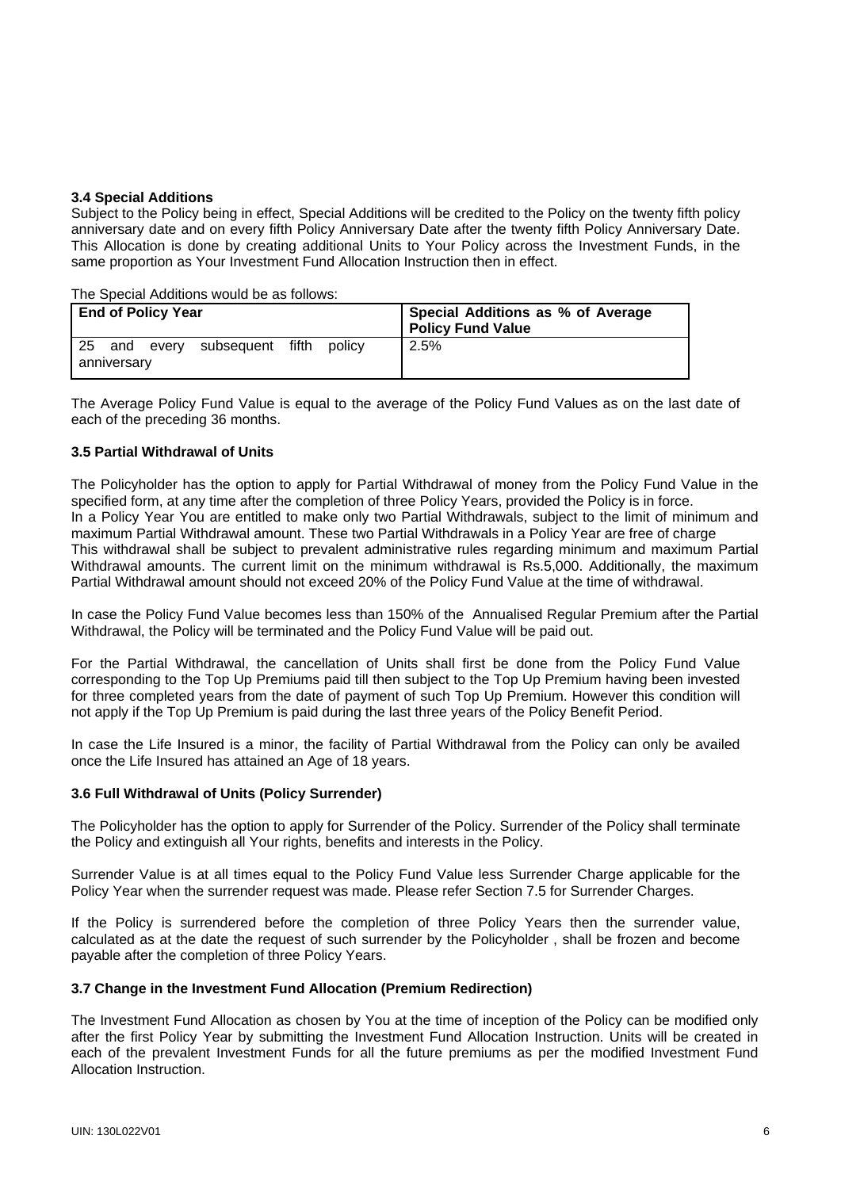#### **3.4 Special Additions**

Subject to the Policy being in effect, Special Additions will be credited to the Policy on the twenty fifth policy anniversary date and on every fifth Policy Anniversary Date after the twenty fifth Policy Anniversary Date. This Allocation is done by creating additional Units to Your Policy across the Investment Funds, in the same proportion as Your Investment Fund Allocation Instruction then in effect.

The Special Additions would be as follows:

| <b>End of Policy Year</b> |                    |       |            | Special Additions as % of Average<br><b>Policy Fund Value</b> |        |      |
|---------------------------|--------------------|-------|------------|---------------------------------------------------------------|--------|------|
| 25                        | and<br>anniversary | everv | subsequent | fifth                                                         | policv | 2.5% |

The Average Policy Fund Value is equal to the average of the Policy Fund Values as on the last date of each of the preceding 36 months.

## **3.5 Partial Withdrawal of Units**

The Policyholder has the option to apply for Partial Withdrawal of money from the Policy Fund Value in the specified form, at any time after the completion of three Policy Years, provided the Policy is in force. In a Policy Year You are entitled to make only two Partial Withdrawals, subject to the limit of minimum and maximum Partial Withdrawal amount. These two Partial Withdrawals in a Policy Year are free of charge This withdrawal shall be subject to prevalent administrative rules regarding minimum and maximum Partial Withdrawal amounts. The current limit on the minimum withdrawal is Rs.5,000. Additionally, the maximum Partial Withdrawal amount should not exceed 20% of the Policy Fund Value at the time of withdrawal.

In case the Policy Fund Value becomes less than 150% of the Annualised Regular Premium after the Partial Withdrawal, the Policy will be terminated and the Policy Fund Value will be paid out.

For the Partial Withdrawal, the cancellation of Units shall first be done from the Policy Fund Value corresponding to the Top Up Premiums paid till then subject to the Top Up Premium having been invested for three completed years from the date of payment of such Top Up Premium. However this condition will not apply if the Top Up Premium is paid during the last three years of the Policy Benefit Period.

In case the Life Insured is a minor, the facility of Partial Withdrawal from the Policy can only be availed once the Life Insured has attained an Age of 18 years.

#### **3.6 Full Withdrawal of Units (Policy Surrender)**

The Policyholder has the option to apply for Surrender of the Policy. Surrender of the Policy shall terminate the Policy and extinguish all Your rights, benefits and interests in the Policy.

Surrender Value is at all times equal to the Policy Fund Value less Surrender Charge applicable for the Policy Year when the surrender request was made. Please refer Section 7.5 for Surrender Charges.

If the Policy is surrendered before the completion of three Policy Years then the surrender value, calculated as at the date the request of such surrender by the Policyholder , shall be frozen and become payable after the completion of three Policy Years.

#### **3.7 Change in the Investment Fund Allocation (Premium Redirection)**

The Investment Fund Allocation as chosen by You at the time of inception of the Policy can be modified only after the first Policy Year by submitting the Investment Fund Allocation Instruction. Units will be created in each of the prevalent Investment Funds for all the future premiums as per the modified Investment Fund Allocation Instruction.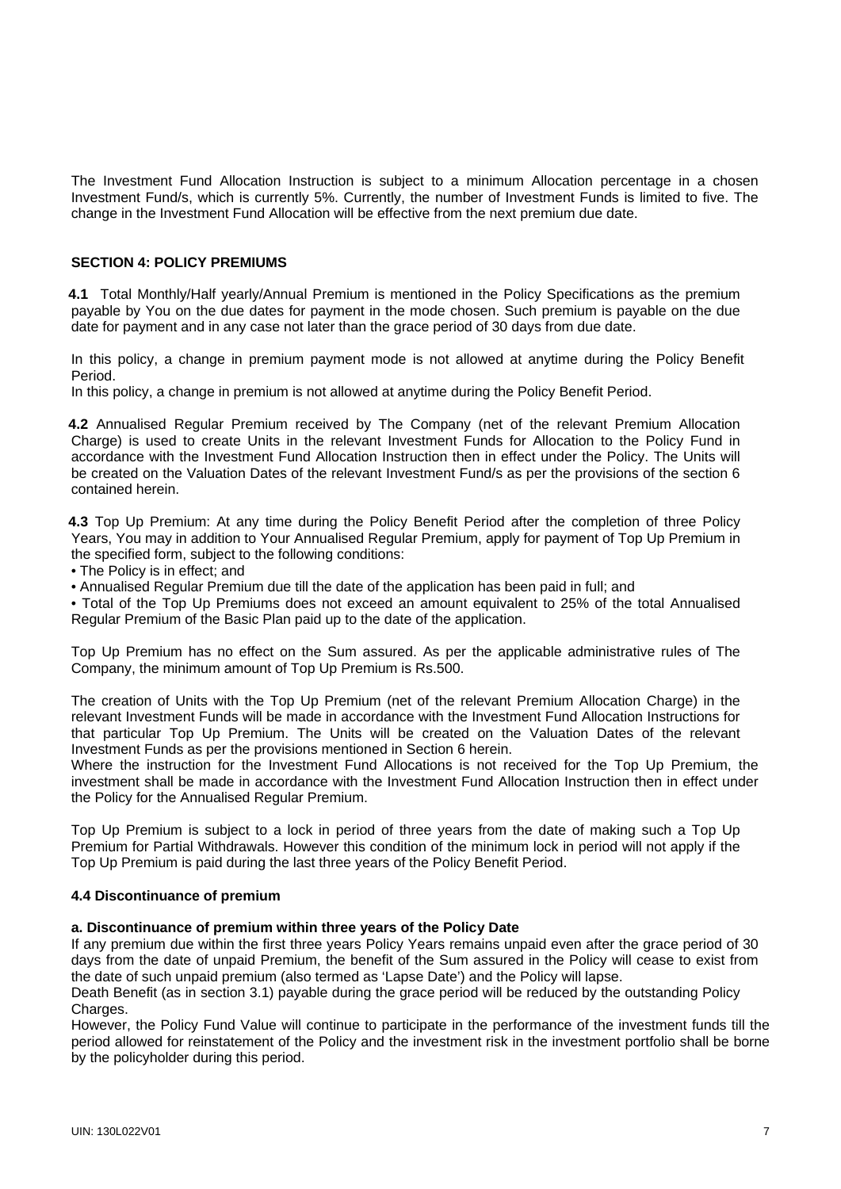The Investment Fund Allocation Instruction is subject to a minimum Allocation percentage in a chosen Investment Fund/s, which is currently 5%. Currently, the number of Investment Funds is limited to five. The change in the Investment Fund Allocation will be effective from the next premium due date.

## **SECTION 4: POLICY PREMIUMS**

 **4.1** Total Monthly/Half yearly/Annual Premium is mentioned in the Policy Specifications as the premium payable by You on the due dates for payment in the mode chosen. Such premium is payable on the due date for payment and in any case not later than the grace period of 30 days from due date.

In this policy, a change in premium payment mode is not allowed at anytime during the Policy Benefit Period.

In this policy, a change in premium is not allowed at anytime during the Policy Benefit Period.

 **4.2** Annualised Regular Premium received by The Company (net of the relevant Premium Allocation Charge) is used to create Units in the relevant Investment Funds for Allocation to the Policy Fund in accordance with the Investment Fund Allocation Instruction then in effect under the Policy. The Units will be created on the Valuation Dates of the relevant Investment Fund/s as per the provisions of the section 6 contained herein.

 **4.3** Top Up Premium: At any time during the Policy Benefit Period after the completion of three Policy Years, You may in addition to Your Annualised Regular Premium, apply for payment of Top Up Premium in the specified form, subject to the following conditions:

• The Policy is in effect; and

• Annualised Regular Premium due till the date of the application has been paid in full; and

 • Total of the Top Up Premiums does not exceed an amount equivalent to 25% of the total Annualised Regular Premium of the Basic Plan paid up to the date of the application.

Top Up Premium has no effect on the Sum assured. As per the applicable administrative rules of The Company, the minimum amount of Top Up Premium is Rs.500.

The creation of Units with the Top Up Premium (net of the relevant Premium Allocation Charge) in the relevant Investment Funds will be made in accordance with the Investment Fund Allocation Instructions for that particular Top Up Premium. The Units will be created on the Valuation Dates of the relevant Investment Funds as per the provisions mentioned in Section 6 herein.

Where the instruction for the Investment Fund Allocations is not received for the Top Up Premium, the investment shall be made in accordance with the Investment Fund Allocation Instruction then in effect under the Policy for the Annualised Regular Premium.

Top Up Premium is subject to a lock in period of three years from the date of making such a Top Up Premium for Partial Withdrawals. However this condition of the minimum lock in period will not apply if the Top Up Premium is paid during the last three years of the Policy Benefit Period.

#### **4.4 Discontinuance of premium**

#### **a. Discontinuance of premium within three years of the Policy Date**

If any premium due within the first three years Policy Years remains unpaid even after the grace period of 30 days from the date of unpaid Premium, the benefit of the Sum assured in the Policy will cease to exist from the date of such unpaid premium (also termed as 'Lapse Date') and the Policy will lapse.

Death Benefit (as in section 3.1) payable during the grace period will be reduced by the outstanding Policy Charges.

However, the Policy Fund Value will continue to participate in the performance of the investment funds till the period allowed for reinstatement of the Policy and the investment risk in the investment portfolio shall be borne by the policyholder during this period.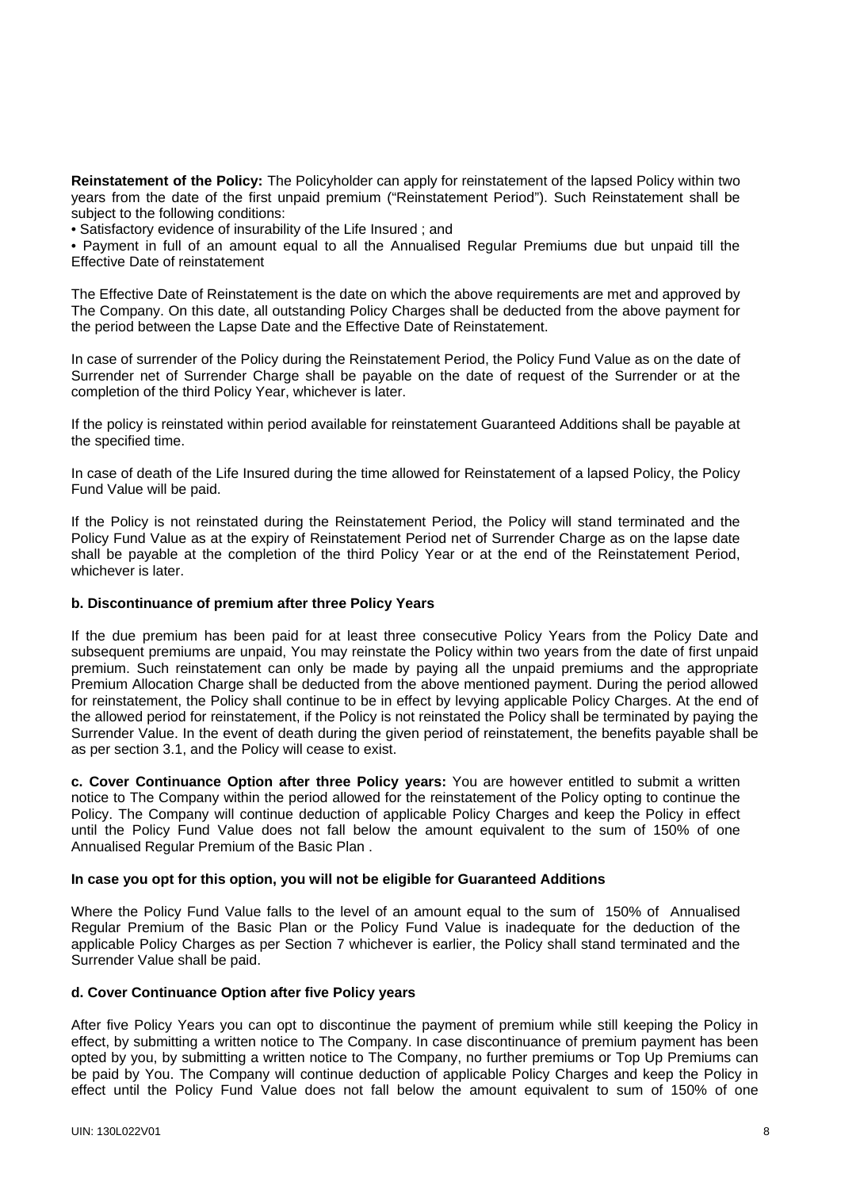**Reinstatement of the Policy:** The Policyholder can apply for reinstatement of the lapsed Policy within two years from the date of the first unpaid premium ("Reinstatement Period"). Such Reinstatement shall be subject to the following conditions:

• Satisfactory evidence of insurability of the Life Insured ; and

 • Payment in full of an amount equal to all the Annualised Regular Premiums due but unpaid till the Effective Date of reinstatement

The Effective Date of Reinstatement is the date on which the above requirements are met and approved by The Company. On this date, all outstanding Policy Charges shall be deducted from the above payment for the period between the Lapse Date and the Effective Date of Reinstatement.

In case of surrender of the Policy during the Reinstatement Period, the Policy Fund Value as on the date of Surrender net of Surrender Charge shall be payable on the date of request of the Surrender or at the completion of the third Policy Year, whichever is later.

If the policy is reinstated within period available for reinstatement Guaranteed Additions shall be payable at the specified time.

In case of death of the Life Insured during the time allowed for Reinstatement of a lapsed Policy, the Policy Fund Value will be paid.

If the Policy is not reinstated during the Reinstatement Period, the Policy will stand terminated and the Policy Fund Value as at the expiry of Reinstatement Period net of Surrender Charge as on the lapse date shall be payable at the completion of the third Policy Year or at the end of the Reinstatement Period, whichever is later.

#### **b. Discontinuance of premium after three Policy Years**

If the due premium has been paid for at least three consecutive Policy Years from the Policy Date and subsequent premiums are unpaid, You may reinstate the Policy within two years from the date of first unpaid premium. Such reinstatement can only be made by paying all the unpaid premiums and the appropriate Premium Allocation Charge shall be deducted from the above mentioned payment. During the period allowed for reinstatement, the Policy shall continue to be in effect by levying applicable Policy Charges. At the end of the allowed period for reinstatement, if the Policy is not reinstated the Policy shall be terminated by paying the Surrender Value. In the event of death during the given period of reinstatement, the benefits payable shall be as per section 3.1, and the Policy will cease to exist.

**c. Cover Continuance Option after three Policy years:** You are however entitled to submit a written notice to The Company within the period allowed for the reinstatement of the Policy opting to continue the Policy. The Company will continue deduction of applicable Policy Charges and keep the Policy in effect until the Policy Fund Value does not fall below the amount equivalent to the sum of 150% of one Annualised Regular Premium of the Basic Plan .

#### **In case you opt for this option, you will not be eligible for Guaranteed Additions**

Where the Policy Fund Value falls to the level of an amount equal to the sum of 150% of Annualised Regular Premium of the Basic Plan or the Policy Fund Value is inadequate for the deduction of the applicable Policy Charges as per Section 7 whichever is earlier, the Policy shall stand terminated and the Surrender Value shall be paid.

#### **d. Cover Continuance Option after five Policy years**

After five Policy Years you can opt to discontinue the payment of premium while still keeping the Policy in effect, by submitting a written notice to The Company. In case discontinuance of premium payment has been opted by you, by submitting a written notice to The Company, no further premiums or Top Up Premiums can be paid by You. The Company will continue deduction of applicable Policy Charges and keep the Policy in effect until the Policy Fund Value does not fall below the amount equivalent to sum of 150% of one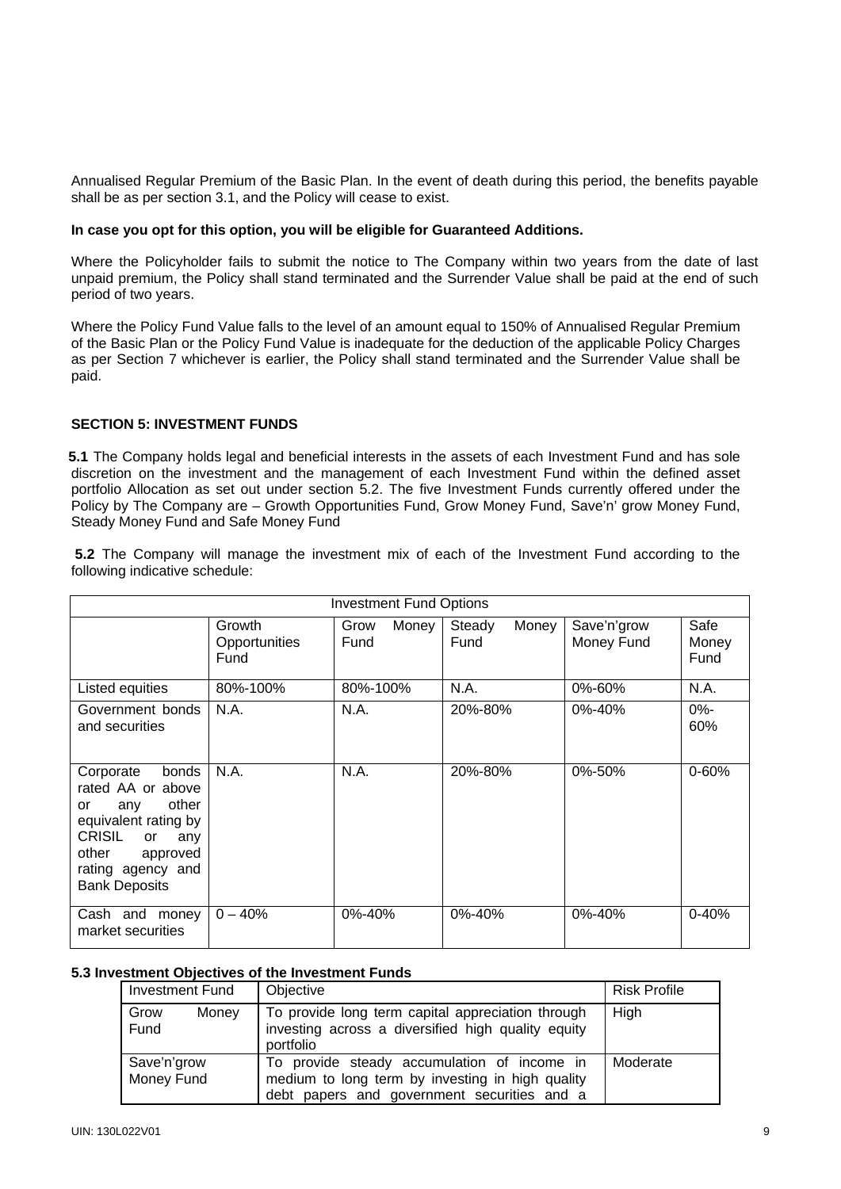Annualised Regular Premium of the Basic Plan. In the event of death during this period, the benefits payable shall be as per section 3.1, and the Policy will cease to exist.

#### **In case you opt for this option, you will be eligible for Guaranteed Additions.**

Where the Policyholder fails to submit the notice to The Company within two years from the date of last unpaid premium, the Policy shall stand terminated and the Surrender Value shall be paid at the end of such period of two years.

Where the Policy Fund Value falls to the level of an amount equal to 150% of Annualised Regular Premium of the Basic Plan or the Policy Fund Value is inadequate for the deduction of the applicable Policy Charges as per Section 7 whichever is earlier, the Policy shall stand terminated and the Surrender Value shall be paid.

# **SECTION 5: INVESTMENT FUNDS**

**5.1** The Company holds legal and beneficial interests in the assets of each Investment Fund and has sole discretion on the investment and the management of each Investment Fund within the defined asset portfolio Allocation as set out under section 5.2. The five Investment Funds currently offered under the Policy by The Company are – Growth Opportunities Fund, Grow Money Fund, Save'n' grow Money Fund, Steady Money Fund and Safe Money Fund

 **5.2** The Company will manage the investment mix of each of the Investment Fund according to the following indicative schedule:

| <b>Investment Fund Options</b>                                                                                                                                                 |                                 |                       |                         |                           |                       |
|--------------------------------------------------------------------------------------------------------------------------------------------------------------------------------|---------------------------------|-----------------------|-------------------------|---------------------------|-----------------------|
|                                                                                                                                                                                | Growth<br>Opportunities<br>Fund | Money<br>Grow<br>Fund | Steady<br>Money<br>Fund | Save'n'grow<br>Money Fund | Safe<br>Money<br>Fund |
| Listed equities                                                                                                                                                                | 80%-100%                        | 80%-100%              | N.A.                    | 0%-60%                    | N.A.                  |
| Government bonds<br>and securities                                                                                                                                             | N.A.                            | N.A.                  | 20%-80%                 | $0\% - 40\%$              | $0% -$<br>60%         |
| Corporate<br>bonds<br>rated AA or above<br>other<br>or<br>any<br>equivalent rating by<br>CRISIL<br>any<br>or<br>other<br>approved<br>rating agency and<br><b>Bank Deposits</b> | N.A.                            | N.A.                  | 20%-80%                 | 0%-50%                    | $0 - 60%$             |
| Cash and<br>money<br>market securities                                                                                                                                         | $0 - 40%$                       | 0%-40%                | 0%-40%                  | $0\% - 40\%$              | $0 - 40%$             |

#### **5.3 Investment Objectives of the Investment Funds**

| Investment Fund                                                                                                                               | Objective                                                                                                                                      | <b>Risk Profile</b> |
|-----------------------------------------------------------------------------------------------------------------------------------------------|------------------------------------------------------------------------------------------------------------------------------------------------|---------------------|
| Grow<br>To provide long term capital appreciation through<br>Money<br>investing across a diversified high quality equity<br>Fund<br>portfolio |                                                                                                                                                | High                |
| Save'n'grow<br>Money Fund                                                                                                                     | To provide steady accumulation of income in<br>medium to long term by investing in high quality<br>debt papers and government securities and a | Moderate            |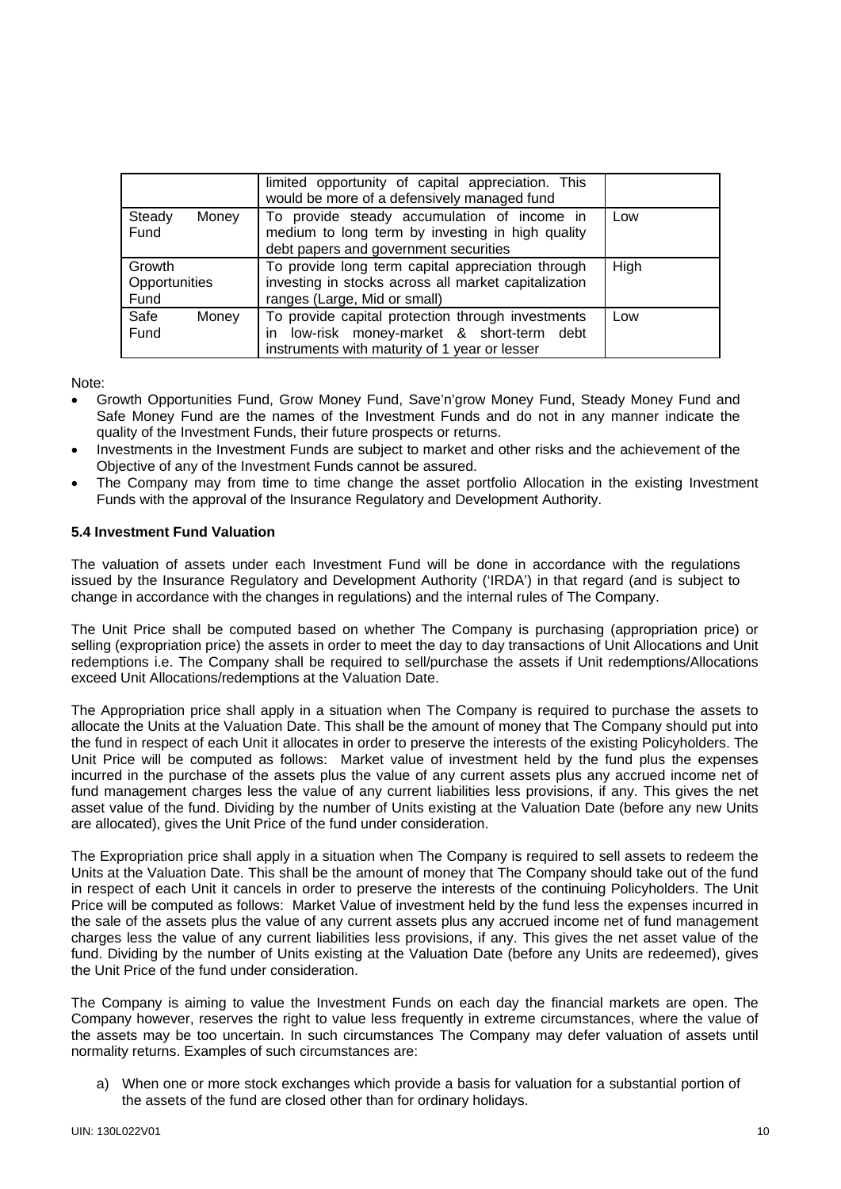|                                 | limited opportunity of capital appreciation. This<br>would be more of a defensively managed fund                                                     |      |
|---------------------------------|------------------------------------------------------------------------------------------------------------------------------------------------------|------|
| Steady<br>Money<br>Fund         | To provide steady accumulation of income in<br>medium to long term by investing in high quality<br>debt papers and government securities             | Low  |
| Growth<br>Opportunities<br>Fund | To provide long term capital appreciation through<br>investing in stocks across all market capitalization<br>ranges (Large, Mid or small)            | High |
| Safe<br>Money<br>Fund           | To provide capital protection through investments<br>low-risk money-market & short-term debt<br>in.<br>instruments with maturity of 1 year or lesser | Low  |

Note:

- Growth Opportunities Fund, Grow Money Fund, Save'n'grow Money Fund, Steady Money Fund and Safe Money Fund are the names of the Investment Funds and do not in any manner indicate the quality of the Investment Funds, their future prospects or returns.
- Investments in the Investment Funds are subject to market and other risks and the achievement of the Objective of any of the Investment Funds cannot be assured.
- The Company may from time to time change the asset portfolio Allocation in the existing Investment Funds with the approval of the Insurance Regulatory and Development Authority.

# **5.4 Investment Fund Valuation**

The valuation of assets under each Investment Fund will be done in accordance with the regulations issued by the Insurance Regulatory and Development Authority ('IRDA') in that regard (and is subject to change in accordance with the changes in regulations) and the internal rules of The Company.

The Unit Price shall be computed based on whether The Company is purchasing (appropriation price) or selling (expropriation price) the assets in order to meet the day to day transactions of Unit Allocations and Unit redemptions i.e. The Company shall be required to sell/purchase the assets if Unit redemptions/Allocations exceed Unit Allocations/redemptions at the Valuation Date.

The Appropriation price shall apply in a situation when The Company is required to purchase the assets to allocate the Units at the Valuation Date. This shall be the amount of money that The Company should put into the fund in respect of each Unit it allocates in order to preserve the interests of the existing Policyholders. The Unit Price will be computed as follows: Market value of investment held by the fund plus the expenses incurred in the purchase of the assets plus the value of any current assets plus any accrued income net of fund management charges less the value of any current liabilities less provisions, if any. This gives the net asset value of the fund. Dividing by the number of Units existing at the Valuation Date (before any new Units are allocated), gives the Unit Price of the fund under consideration.

The Expropriation price shall apply in a situation when The Company is required to sell assets to redeem the Units at the Valuation Date. This shall be the amount of money that The Company should take out of the fund in respect of each Unit it cancels in order to preserve the interests of the continuing Policyholders. The Unit Price will be computed as follows: Market Value of investment held by the fund less the expenses incurred in the sale of the assets plus the value of any current assets plus any accrued income net of fund management charges less the value of any current liabilities less provisions, if any. This gives the net asset value of the fund. Dividing by the number of Units existing at the Valuation Date (before any Units are redeemed), gives the Unit Price of the fund under consideration.

The Company is aiming to value the Investment Funds on each day the financial markets are open. The Company however, reserves the right to value less frequently in extreme circumstances, where the value of the assets may be too uncertain. In such circumstances The Company may defer valuation of assets until normality returns. Examples of such circumstances are:

a) When one or more stock exchanges which provide a basis for valuation for a substantial portion of the assets of the fund are closed other than for ordinary holidays.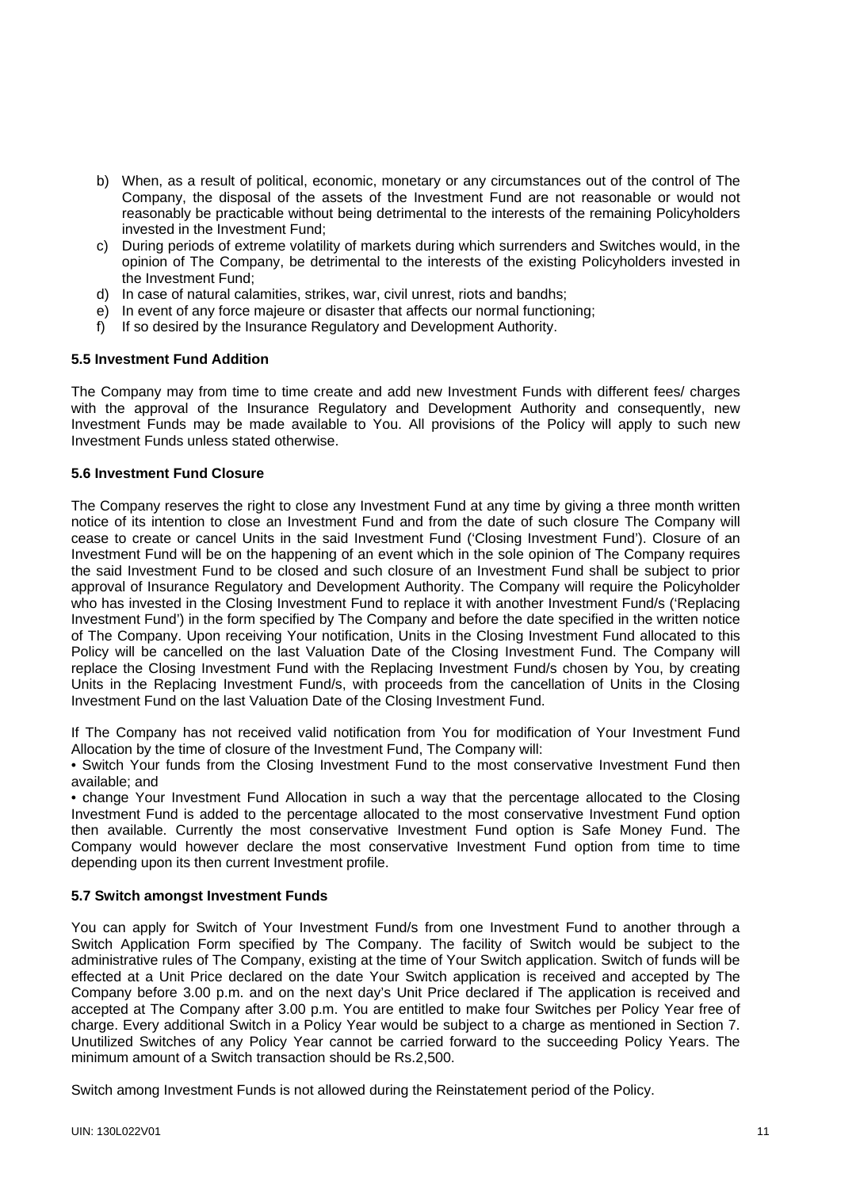- b) When, as a result of political, economic, monetary or any circumstances out of the control of The Company, the disposal of the assets of the Investment Fund are not reasonable or would not reasonably be practicable without being detrimental to the interests of the remaining Policyholders invested in the Investment Fund;
- c) During periods of extreme volatility of markets during which surrenders and Switches would, in the opinion of The Company, be detrimental to the interests of the existing Policyholders invested in the Investment Fund;
- d) In case of natural calamities, strikes, war, civil unrest, riots and bandhs;
- e) In event of any force majeure or disaster that affects our normal functioning;
- f) If so desired by the Insurance Regulatory and Development Authority.

#### **5.5 Investment Fund Addition**

The Company may from time to time create and add new Investment Funds with different fees/ charges with the approval of the Insurance Regulatory and Development Authority and consequently, new Investment Funds may be made available to You. All provisions of the Policy will apply to such new Investment Funds unless stated otherwise.

## **5.6 Investment Fund Closure**

The Company reserves the right to close any Investment Fund at any time by giving a three month written notice of its intention to close an Investment Fund and from the date of such closure The Company will cease to create or cancel Units in the said Investment Fund ('Closing Investment Fund'). Closure of an Investment Fund will be on the happening of an event which in the sole opinion of The Company requires the said Investment Fund to be closed and such closure of an Investment Fund shall be subject to prior approval of Insurance Regulatory and Development Authority. The Company will require the Policyholder who has invested in the Closing Investment Fund to replace it with another Investment Fund/s ('Replacing Investment Fund') in the form specified by The Company and before the date specified in the written notice of The Company. Upon receiving Your notification, Units in the Closing Investment Fund allocated to this Policy will be cancelled on the last Valuation Date of the Closing Investment Fund. The Company will replace the Closing Investment Fund with the Replacing Investment Fund/s chosen by You, by creating Units in the Replacing Investment Fund/s, with proceeds from the cancellation of Units in the Closing Investment Fund on the last Valuation Date of the Closing Investment Fund.

If The Company has not received valid notification from You for modification of Your Investment Fund Allocation by the time of closure of the Investment Fund, The Company will:

 • Switch Your funds from the Closing Investment Fund to the most conservative Investment Fund then available; and

 • change Your Investment Fund Allocation in such a way that the percentage allocated to the Closing Investment Fund is added to the percentage allocated to the most conservative Investment Fund option then available. Currently the most conservative Investment Fund option is Safe Money Fund. The Company would however declare the most conservative Investment Fund option from time to time depending upon its then current Investment profile.

#### **5.7 Switch amongst Investment Funds**

You can apply for Switch of Your Investment Fund/s from one Investment Fund to another through a Switch Application Form specified by The Company. The facility of Switch would be subject to the administrative rules of The Company, existing at the time of Your Switch application. Switch of funds will be effected at a Unit Price declared on the date Your Switch application is received and accepted by The Company before 3.00 p.m. and on the next day's Unit Price declared if The application is received and accepted at The Company after 3.00 p.m. You are entitled to make four Switches per Policy Year free of charge. Every additional Switch in a Policy Year would be subject to a charge as mentioned in Section 7. Unutilized Switches of any Policy Year cannot be carried forward to the succeeding Policy Years. The minimum amount of a Switch transaction should be Rs.2,500.

Switch among Investment Funds is not allowed during the Reinstatement period of the Policy.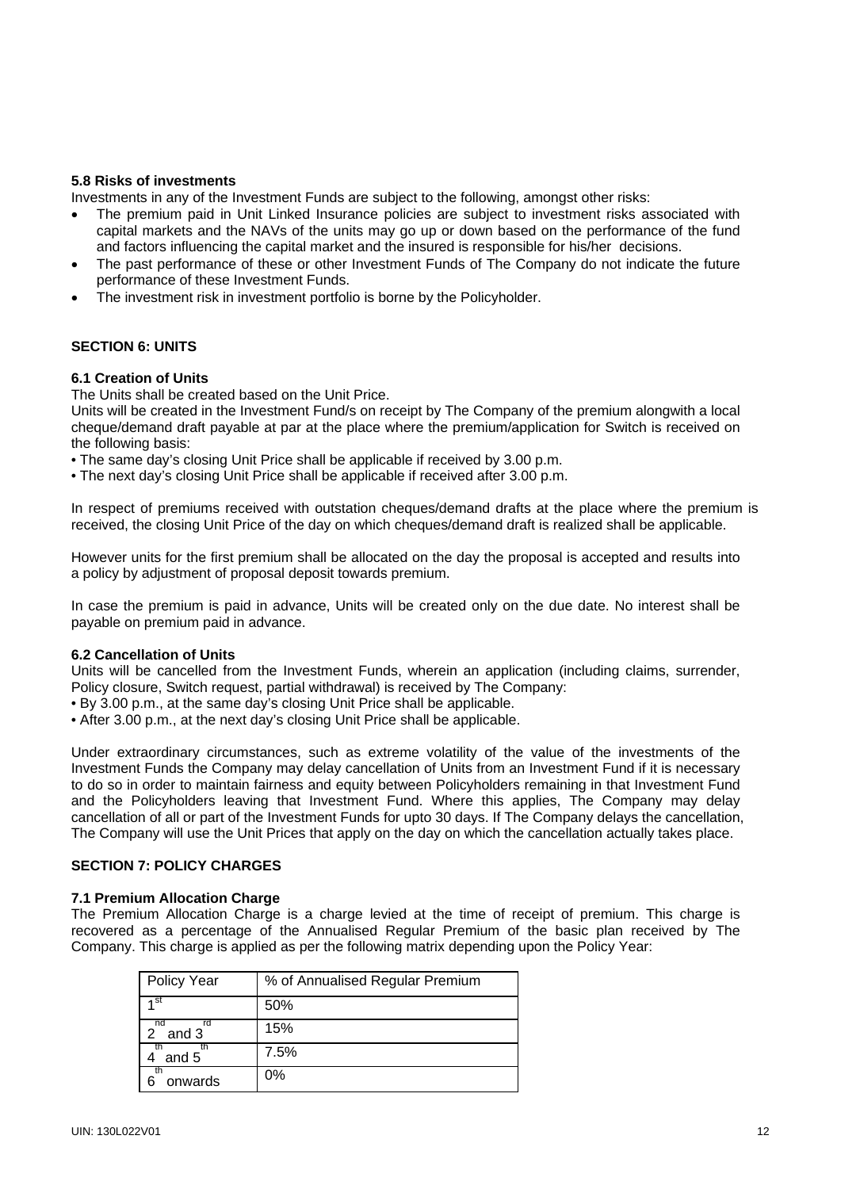## **5.8 Risks of investments**

Investments in any of the Investment Funds are subject to the following, amongst other risks:

- The premium paid in Unit Linked Insurance policies are subject to investment risks associated with capital markets and the NAVs of the units may go up or down based on the performance of the fund and factors influencing the capital market and the insured is responsible for his/her decisions.
- The past performance of these or other Investment Funds of The Company do not indicate the future performance of these Investment Funds.
- The investment risk in investment portfolio is borne by the Policyholder.

# **SECTION 6: UNITS**

#### **6.1 Creation of Units**

The Units shall be created based on the Unit Price.

Units will be created in the Investment Fund/s on receipt by The Company of the premium alongwith a local cheque/demand draft payable at par at the place where the premium/application for Switch is received on the following basis:

- The same day's closing Unit Price shall be applicable if received by 3.00 p.m.
- The next day's closing Unit Price shall be applicable if received after 3.00 p.m.

In respect of premiums received with outstation cheques/demand drafts at the place where the premium is received, the closing Unit Price of the day on which cheques/demand draft is realized shall be applicable.

However units for the first premium shall be allocated on the day the proposal is accepted and results into a policy by adjustment of proposal deposit towards premium.

In case the premium is paid in advance, Units will be created only on the due date. No interest shall be payable on premium paid in advance.

#### **6.2 Cancellation of Units**

Units will be cancelled from the Investment Funds, wherein an application (including claims, surrender, Policy closure, Switch request, partial withdrawal) is received by The Company:

- By 3.00 p.m., at the same day's closing Unit Price shall be applicable.
- After 3.00 p.m., at the next day's closing Unit Price shall be applicable.

Under extraordinary circumstances, such as extreme volatility of the value of the investments of the Investment Funds the Company may delay cancellation of Units from an Investment Fund if it is necessary to do so in order to maintain fairness and equity between Policyholders remaining in that Investment Fund and the Policyholders leaving that Investment Fund. Where this applies, The Company may delay cancellation of all or part of the Investment Funds for upto 30 days. If The Company delays the cancellation, The Company will use the Unit Prices that apply on the day on which the cancellation actually takes place.

## **SECTION 7: POLICY CHARGES**

#### **7.1 Premium Allocation Charge**

The Premium Allocation Charge is a charge levied at the time of receipt of premium. This charge is recovered as a percentage of the Annualised Regular Premium of the basic plan received by The Company. This charge is applied as per the following matrix depending upon the Policy Year:

| <b>Policy Year</b> | % of Annualised Regular Premium |
|--------------------|---------------------------------|
| 4 St               | 50%                             |
| nd<br>rd<br>and 3  | 15%                             |
| and 5              | 7.5%                            |
| onwards            | $0\%$                           |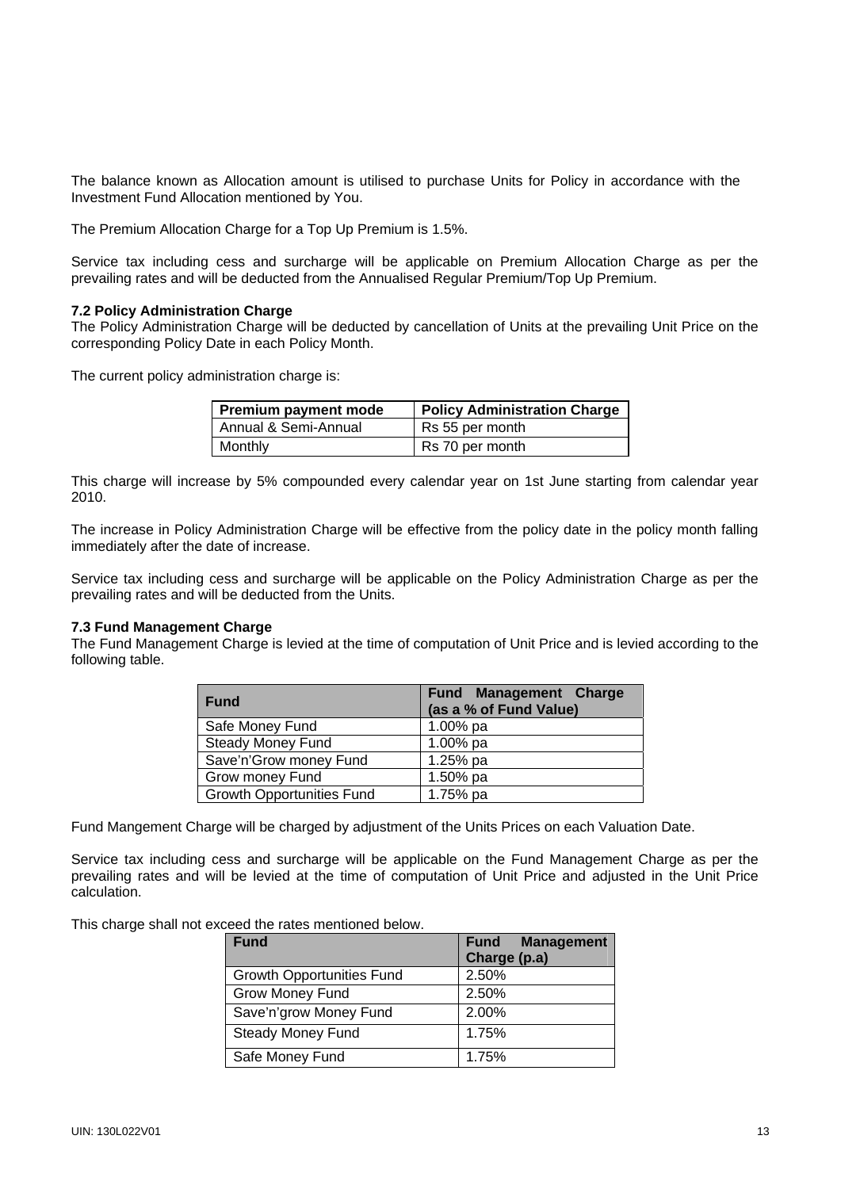The balance known as Allocation amount is utilised to purchase Units for Policy in accordance with the Investment Fund Allocation mentioned by You.

The Premium Allocation Charge for a Top Up Premium is 1.5%.

Service tax including cess and surcharge will be applicable on Premium Allocation Charge as per the prevailing rates and will be deducted from the Annualised Regular Premium/Top Up Premium.

## **7.2 Policy Administration Charge**

The Policy Administration Charge will be deducted by cancellation of Units at the prevailing Unit Price on the corresponding Policy Date in each Policy Month.

The current policy administration charge is:

| Premium payment mode | <b>Policy Administration Charge</b> |
|----------------------|-------------------------------------|
| Annual & Semi-Annual | Rs 55 per month                     |
| Monthly              | Rs 70 per month                     |

This charge will increase by 5% compounded every calendar year on 1st June starting from calendar year 2010.

The increase in Policy Administration Charge will be effective from the policy date in the policy month falling immediately after the date of increase.

Service tax including cess and surcharge will be applicable on the Policy Administration Charge as per the prevailing rates and will be deducted from the Units.

#### **7.3 Fund Management Charge**

The Fund Management Charge is levied at the time of computation of Unit Price and is levied according to the following table.

| <b>Fund</b>                      | <b>Fund Management Charge</b><br>(as a % of Fund Value) |
|----------------------------------|---------------------------------------------------------|
| Safe Money Fund                  | 1.00% pa                                                |
| <b>Steady Money Fund</b>         | 1.00% pa                                                |
| Save'n'Grow money Fund           | 1.25% pa                                                |
| <b>Grow money Fund</b>           | 1.50% pa                                                |
| <b>Growth Opportunities Fund</b> | 1.75% pa                                                |

Fund Mangement Charge will be charged by adjustment of the Units Prices on each Valuation Date.

Service tax including cess and surcharge will be applicable on the Fund Management Charge as per the prevailing rates and will be levied at the time of computation of Unit Price and adjusted in the Unit Price calculation.

This charge shall not exceed the rates mentioned below.

| <b>Fund</b>                      | <b>Management</b><br><b>Fund</b><br>Charge (p.a) |
|----------------------------------|--------------------------------------------------|
| <b>Growth Opportunities Fund</b> | 2.50%                                            |
| Grow Money Fund                  | 2.50%                                            |
| Save'n'grow Money Fund           | 2.00%                                            |
| <b>Steady Money Fund</b>         | 1.75%                                            |
| Safe Money Fund                  | 1.75%                                            |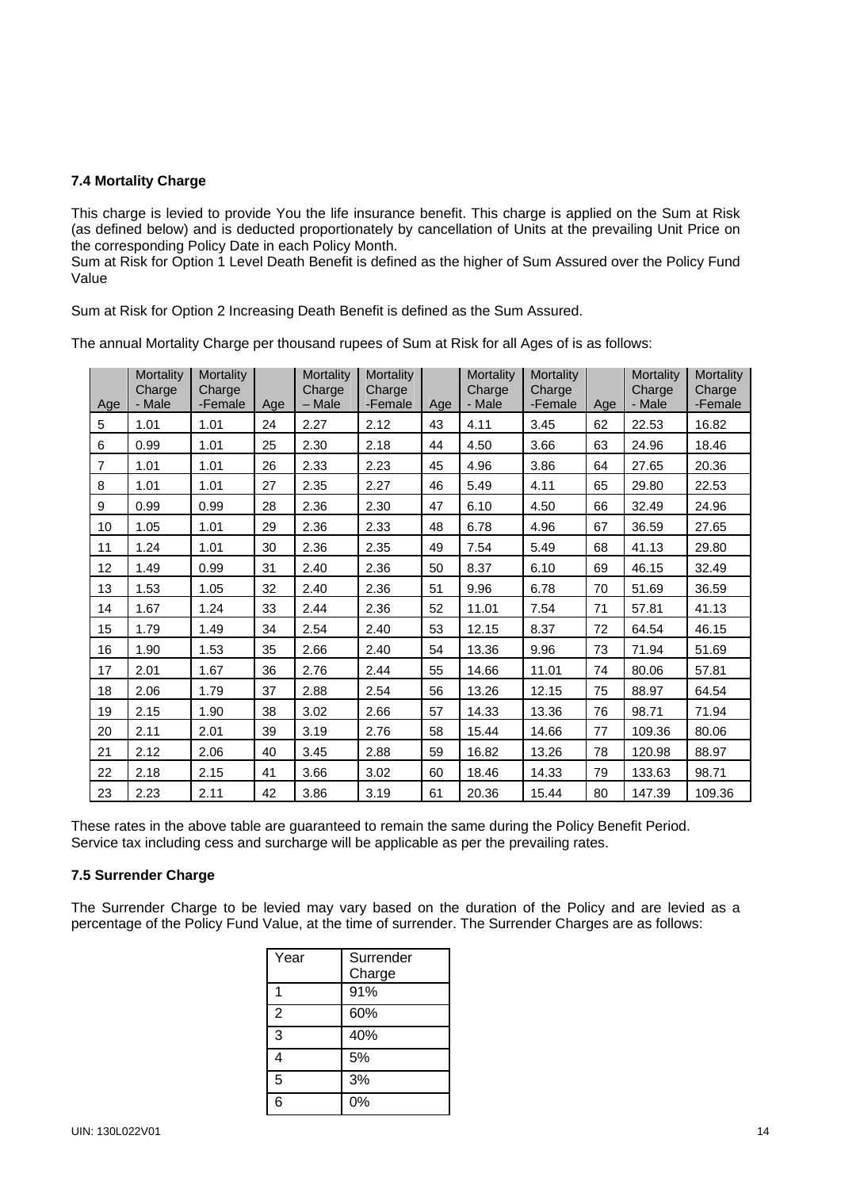# **7.4 Mortality Charge**

This charge is levied to provide You the life insurance benefit. This charge is applied on the Sum at Risk (as defined below) and is deducted proportionately by cancellation of Units at the prevailing Unit Price on the corresponding Policy Date in each Policy Month.

Sum at Risk for Option 1 Level Death Benefit is defined as the higher of Sum Assured over the Policy Fund Value

Sum at Risk for Option 2 Increasing Death Benefit is defined as the Sum Assured.

Age **Mortality Charge** - Male **Mortality Charge** -Female Age **Mortality Charge** – Male **Mortality Charge**  $-Female$  Age **Mortality Charge** - Male **Mortality Charge** -Female Age **Mortality Charge** - Male **Mortality Charge** -Female 5 1.01 1.01 24 2.27 2.12 43 4.11 3.45 62 22.53 16.82 6 0.99 1.01 25 2.30 2.18 44 4.50 3.66 63 24.96 18.46 7 1.01 1.01 26 2.33 2.23 45 4.96 3.86 64 27.65 20.36 8 1.01 1.01 27 2.35 2.27 46 5.49 4.11 65 29.80 22.53 9 | 0.99 | 0.99 | 28 | 2.36 | 2.30 | 47 | 6.10 | 4.50 | 66 | 32.49 | 24.96 10 1.05 1.01 29 2.36 2.33 48 6.78 4.96 67 36.59 27.65 11 1.24 1.01 30 2.36 2.35 49 7.54 5.49 68 41.13 29.80 12 1.49 0.99 31 2.40 2.36 50 8.37 6.10 69 46.15 32.49 13 | 1.53 | 1.05 | 32 | 2.40 | 2.36 | 51 | 9.96 | 6.78 | 70 | 51.69 | 36.59 14 1.67 1.24 33 2.44 2.36 52 11.01 7.54 71 57.81 41.13 15 1.79 1.49 34 2.54 2.40 53 12.15 8.37 72 64.54 46.15 16 | 1.90 | 1.53 | 35 | 2.66 | 2.40 | 54 | 13.36 | 9.96 | 73 | 71.94 | 51.69 17 2.01 1.67 36 2.76 2.44 55 14.66 11.01 74 80.06 57.81 18 2.06 1.79 37 2.88 2.54 56 13.26 12.15 75 88.97 64.54 19 2.15 1.90 38 3.02 2.66 57 14.33 13.36 76 98.71 71.94 20 2.11 2.01 39 3.19 2.76 58 15.44 14.66 77 109.36 80.06 21 2.12 2.06 40 3.45 2.88 59 16.82 13.26 78 120.98 88.97 22 2.18 2.15 41 3.66 3.02 60 18.46 14.33 79 133.63 98.71 23 2.23 2.11 42 3.86 3.19 61 20.36 15.44 80 147.39 109.36

The annual Mortality Charge per thousand rupees of Sum at Risk for all Ages of is as follows:

These rates in the above table are guaranteed to remain the same during the Policy Benefit Period. Service tax including cess and surcharge will be applicable as per the prevailing rates.

# **7.5 Surrender Charge**

The Surrender Charge to be levied may vary based on the duration of the Policy and are levied as a percentage of the Policy Fund Value, at the time of surrender. The Surrender Charges are as follows:

| Year           | Surrender |
|----------------|-----------|
|                | Charge    |
|                | 91%       |
| $\mathfrak{p}$ | 60%       |
| 3              | 40%       |
| 4              | 5%        |
| 5              | 3%        |
| 6              | 0%        |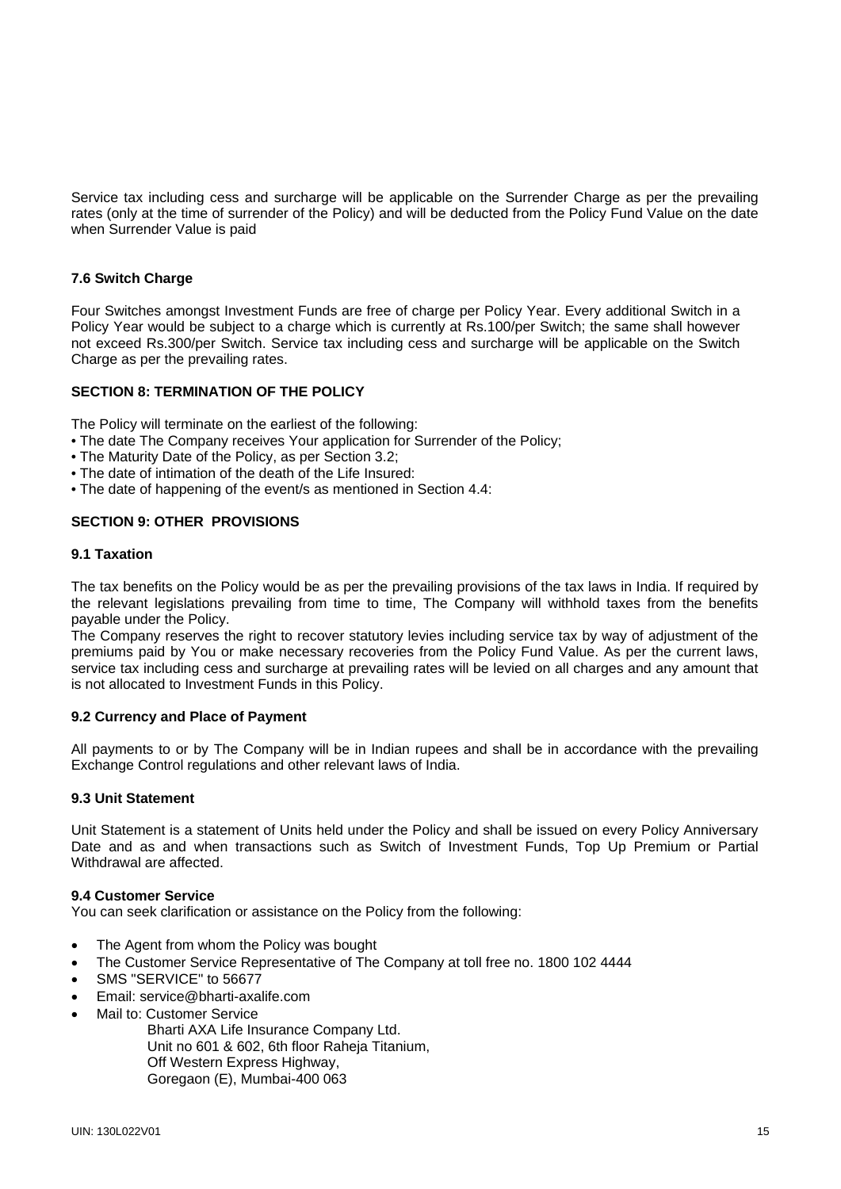Service tax including cess and surcharge will be applicable on the Surrender Charge as per the prevailing rates (only at the time of surrender of the Policy) and will be deducted from the Policy Fund Value on the date when Surrender Value is paid

## **7.6 Switch Charge**

Four Switches amongst Investment Funds are free of charge per Policy Year. Every additional Switch in a Policy Year would be subject to a charge which is currently at Rs.100/per Switch; the same shall however not exceed Rs.300/per Switch. Service tax including cess and surcharge will be applicable on the Switch Charge as per the prevailing rates.

#### **SECTION 8: TERMINATION OF THE POLICY**

The Policy will terminate on the earliest of the following:

- The date The Company receives Your application for Surrender of the Policy;
- The Maturity Date of the Policy, as per Section 3.2;
- The date of intimation of the death of the Life Insured:
- The date of happening of the event/s as mentioned in Section 4.4:

## **SECTION 9: OTHER PROVISIONS**

#### **9.1 Taxation**

The tax benefits on the Policy would be as per the prevailing provisions of the tax laws in India. If required by the relevant legislations prevailing from time to time, The Company will withhold taxes from the benefits payable under the Policy.

The Company reserves the right to recover statutory levies including service tax by way of adjustment of the premiums paid by You or make necessary recoveries from the Policy Fund Value. As per the current laws, service tax including cess and surcharge at prevailing rates will be levied on all charges and any amount that is not allocated to Investment Funds in this Policy.

#### **9.2 Currency and Place of Payment**

All payments to or by The Company will be in Indian rupees and shall be in accordance with the prevailing Exchange Control regulations and other relevant laws of India.

## **9.3 Unit Statement**

Unit Statement is a statement of Units held under the Policy and shall be issued on every Policy Anniversary Date and as and when transactions such as Switch of Investment Funds, Top Up Premium or Partial Withdrawal are affected.

#### **9.4 Customer Service**

You can seek clarification or assistance on the Policy from the following:

- The Agent from whom the Policy was bought
- The Customer Service Representative of The Company at toll free no. 1800 102 4444
- SMS "SERVICE" to 56677
- Email: service@bharti-axalife.com
- Mail to: Customer Service
	- Bharti AXA Life Insurance Company Ltd.
	- Unit no 601 & 602, 6th floor Raheja Titanium,
	- Off Western Express Highway,
	- Goregaon (E), Mumbai-400 063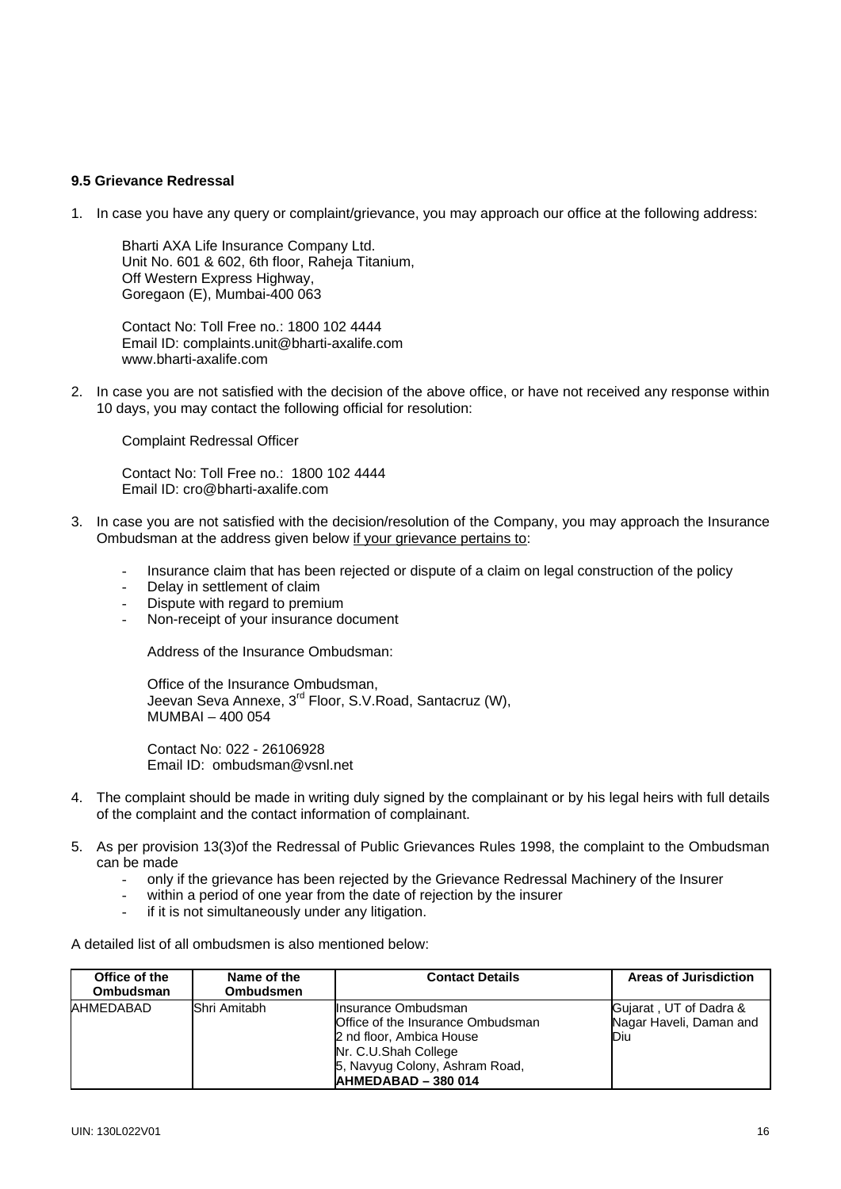#### **9.5 Grievance Redressal**

1. In case you have any query or complaint/grievance, you may approach our office at the following address:

Bharti AXA Life Insurance Company Ltd. Unit No. 601 & 602, 6th floor, Raheja Titanium, Off Western Express Highway, Goregaon (E), Mumbai-400 063

 Contact No: Toll Free no.: 1800 102 4444 Email ID: complaints.unit@bharti-axalife.com www.bharti-axalife.com

2. In case you are not satisfied with the decision of the above office, or have not received any response within 10 days, you may contact the following official for resolution:

Complaint Redressal Officer

 Contact No: Toll Free no.: 1800 102 4444 Email ID: [cro@bharti-axalife.com](mailto:cro@bharti-axalife.com)

- 3. In case you are not satisfied with the decision/resolution of the Company, you may approach the Insurance Ombudsman at the address given below if your grievance pertains to:
	- Insurance claim that has been rejected or dispute of a claim on legal construction of the policy
	- Delay in settlement of claim
	- Dispute with regard to premium
	- Non-receipt of your insurance document

Address of the Insurance Ombudsman:

Office of the Insurance Ombudsman, Jeevan Seva Annexe, 3<sup>rd</sup> Floor, S.V.Road, Santacruz (W), MUMBAI – 400 054

 Contact No: 022 - 26106928 Email ID: [ombudsman@vsnl.net](mailto:ombudsman@vsnl.net)

- 4. The complaint should be made in writing duly signed by the complainant or by his legal heirs with full details of the complaint and the contact information of complainant.
- 5. As per provision 13(3)of the Redressal of Public Grievances Rules 1998, the complaint to the Ombudsman can be made
	- only if the grievance has been rejected by the Grievance Redressal Machinery of the Insurer
	- within a period of one year from the date of rejection by the insurer
	- if it is not simultaneously under any litigation.
- A detailed list of all ombudsmen is also mentioned below:

| Office of the<br>Ombudsman | Name of the<br><b>Ombudsmen</b> | <b>Contact Details</b>                                                                                                                                                 | <b>Areas of Jurisdiction</b>                             |
|----------------------------|---------------------------------|------------------------------------------------------------------------------------------------------------------------------------------------------------------------|----------------------------------------------------------|
| AHMEDABAD                  | Shri Amitabh                    | Insurance Ombudsman<br>Office of the Insurance Ombudsman<br>2 nd floor, Ambica House<br>Nr. C.U.Shah College<br>5, Navyug Colony, Ashram Road,<br>IAHMEDABAD - 380 014 | Gujarat, UT of Dadra &<br>Nagar Haveli, Daman and<br>Diu |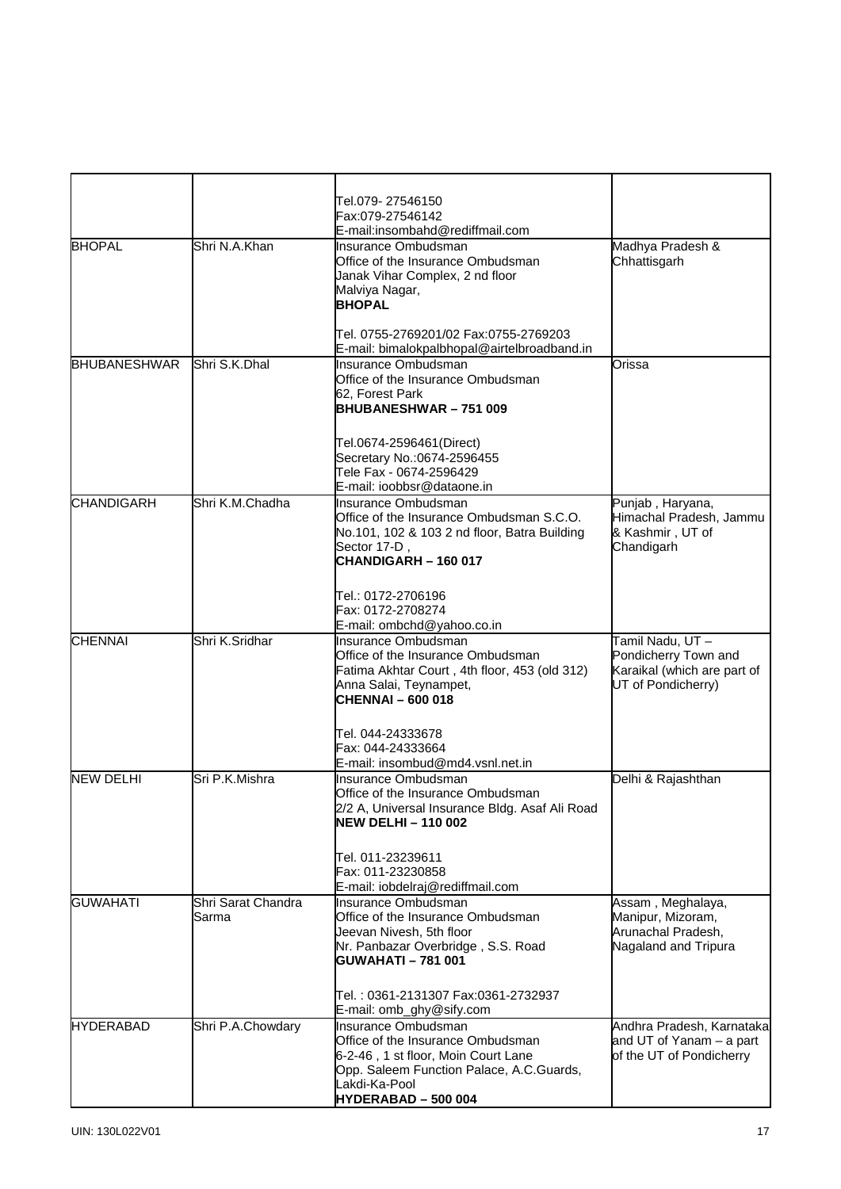|                     |                             | Tel.079- 27546150                                                               |                                         |
|---------------------|-----------------------------|---------------------------------------------------------------------------------|-----------------------------------------|
|                     |                             | Fax:079-27546142                                                                |                                         |
| <b>BHOPAL</b>       | Shri N.A.Khan               | E-mail:insombahd@rediffmail.com<br>Insurance Ombudsman                          | Madhya Pradesh &                        |
|                     |                             | Office of the Insurance Ombudsman                                               | Chhattisgarh                            |
|                     |                             | Janak Vihar Complex, 2 nd floor                                                 |                                         |
|                     |                             | Malviya Nagar,                                                                  |                                         |
|                     |                             | <b>BHOPAL</b>                                                                   |                                         |
|                     |                             |                                                                                 |                                         |
|                     |                             | Tel. 0755-2769201/02 Fax:0755-2769203                                           |                                         |
|                     |                             | E-mail: bimalokpalbhopal@airtelbroadband.in                                     |                                         |
| <b>BHUBANESHWAR</b> | Shri S.K.Dhal               | Insurance Ombudsman                                                             | Orissa                                  |
|                     |                             | Office of the Insurance Ombudsman                                               |                                         |
|                     |                             | 62, Forest Park<br>BHUBANESHWAR-751009                                          |                                         |
|                     |                             |                                                                                 |                                         |
|                     |                             |                                                                                 |                                         |
|                     |                             | Tel.0674-2596461(Direct)<br>Secretary No.:0674-2596455                          |                                         |
|                     |                             | Tele Fax - 0674-2596429                                                         |                                         |
|                     |                             | E-mail: ioobbsr@dataone.in                                                      |                                         |
| <b>CHANDIGARH</b>   | Shri K.M.Chadha             | Insurance Ombudsman                                                             | Punjab, Haryana,                        |
|                     |                             | Office of the Insurance Ombudsman S.C.O.                                        | Himachal Pradesh, Jammu                 |
|                     |                             | No.101, 102 & 103 2 nd floor, Batra Building                                    | & Kashmir, UT of                        |
|                     |                             | Sector 17-D,                                                                    | Chandigarh                              |
|                     |                             | CHANDIGARH - 160 017                                                            |                                         |
|                     |                             |                                                                                 |                                         |
|                     |                             | Tel.: 0172-2706196<br>Fax: 0172-2708274                                         |                                         |
|                     |                             | E-mail: ombchd@yahoo.co.in                                                      |                                         |
| <b>CHENNAI</b>      | Shri K.Sridhar              | Insurance Ombudsman                                                             | Tamil Nadu, UT-                         |
|                     |                             | Office of the Insurance Ombudsman                                               | Pondicherry Town and                    |
|                     |                             | Fatima Akhtar Court, 4th floor, 453 (old 312)                                   | Karaikal (which are part of             |
|                     |                             | Anna Salai, Teynampet,                                                          | UT of Pondicherry)                      |
|                     |                             | <b>CHENNAI-600018</b>                                                           |                                         |
|                     |                             |                                                                                 |                                         |
|                     |                             | Tel. 044-24333678<br>Fax: 044-24333664                                          |                                         |
|                     |                             | E-mail: insombud@md4.vsnl.net.in                                                |                                         |
| <b>NEW DELHI</b>    | Sri P.K.Mishra              | Insurance Ombudsman                                                             | Delhi & Rajashthan                      |
|                     |                             | Office of the Insurance Ombudsman                                               |                                         |
|                     |                             | 2/2 A, Universal Insurance Bldg. Asaf Ali Road                                  |                                         |
|                     |                             | <b>NEW DELHI - 110 002</b>                                                      |                                         |
|                     |                             |                                                                                 |                                         |
|                     |                             | Tel. 011-23239611                                                               |                                         |
|                     |                             | Fax: 011-23230858                                                               |                                         |
|                     |                             | E-mail: iobdelraj@rediffmail.com                                                |                                         |
| <b>GUWAHATI</b>     | Shri Sarat Chandra<br>Sarma | Insurance Ombudsman<br>Office of the Insurance Ombudsman                        | Assam, Meghalaya,                       |
|                     |                             | Jeevan Nivesh, 5th floor                                                        | Manipur, Mizoram,<br>Arunachal Pradesh, |
|                     |                             | Nr. Panbazar Overbridge, S.S. Road                                              | Nagaland and Tripura                    |
|                     |                             | <b>GUWAHATI-781001</b>                                                          |                                         |
|                     |                             |                                                                                 |                                         |
|                     |                             | Tel. : 0361-2131307 Fax:0361-2732937                                            |                                         |
|                     |                             | E-mail: omb_ghy@sify.com                                                        |                                         |
| <b>HYDERABAD</b>    | Shri P.A.Chowdary           | Insurance Ombudsman                                                             | Andhra Pradesh, Karnataka               |
|                     |                             | Office of the Insurance Ombudsman                                               | and UT of Yanam - a part                |
|                     |                             | 6-2-46, 1 st floor, Moin Court Lane<br>Opp. Saleem Function Palace, A.C.Guards, | of the UT of Pondicherry                |
|                     |                             | Lakdi-Ka-Pool                                                                   |                                         |
|                     |                             | HYDERABAD - 500 004                                                             |                                         |